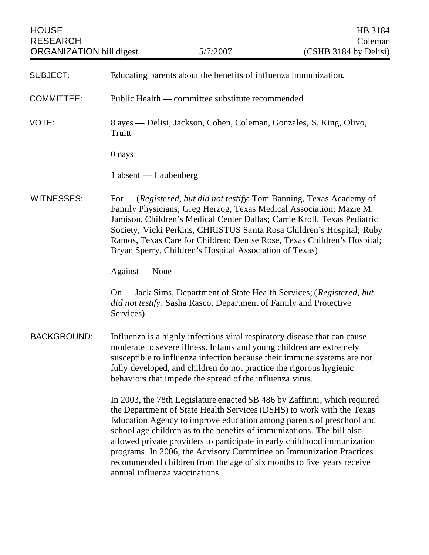| <b>HOUSE</b><br><b>RESEARCH</b><br><b>ORGANIZATION</b> bill digest |                                                                               | 5/7/2007                                                                                                                                                                                                | HB 3184<br>Coleman<br>(CSHB 3184 by Delisi)                                                                                                                                                                                                                                                                                                                                                                                                            |
|--------------------------------------------------------------------|-------------------------------------------------------------------------------|---------------------------------------------------------------------------------------------------------------------------------------------------------------------------------------------------------|--------------------------------------------------------------------------------------------------------------------------------------------------------------------------------------------------------------------------------------------------------------------------------------------------------------------------------------------------------------------------------------------------------------------------------------------------------|
| <b>SUBJECT:</b>                                                    |                                                                               | Educating parents about the benefits of influenza immunization.                                                                                                                                         |                                                                                                                                                                                                                                                                                                                                                                                                                                                        |
| <b>COMMITTEE:</b>                                                  |                                                                               | Public Health — committee substitute recommended                                                                                                                                                        |                                                                                                                                                                                                                                                                                                                                                                                                                                                        |
| VOTE:                                                              | 8 ayes — Delisi, Jackson, Cohen, Coleman, Gonzales, S. King, Olivo,<br>Truitt |                                                                                                                                                                                                         |                                                                                                                                                                                                                                                                                                                                                                                                                                                        |
|                                                                    | 0 nays                                                                        |                                                                                                                                                                                                         |                                                                                                                                                                                                                                                                                                                                                                                                                                                        |
|                                                                    | 1 absent — Laubenberg                                                         |                                                                                                                                                                                                         |                                                                                                                                                                                                                                                                                                                                                                                                                                                        |
| WITNESSES:                                                         |                                                                               | Bryan Sperry, Children's Hospital Association of Texas)                                                                                                                                                 | For — (Registered, but did not testify: Tom Banning, Texas Academy of<br>Family Physicians; Greg Herzog, Texas Medical Association; Mazie M.<br>Jamison, Children's Medical Center Dallas; Carrie Kroll, Texas Pediatric<br>Society; Vicki Perkins, CHRISTUS Santa Rosa Children's Hospital; Ruby<br>Ramos, Texas Care for Children; Denise Rose, Texas Children's Hospital;                                                                           |
|                                                                    | Against - None                                                                |                                                                                                                                                                                                         |                                                                                                                                                                                                                                                                                                                                                                                                                                                        |
|                                                                    | Services)                                                                     | did not testify: Sasha Rasco, Department of Family and Protective                                                                                                                                       | On — Jack Sims, Department of State Health Services; (Registered, but                                                                                                                                                                                                                                                                                                                                                                                  |
| <b>BACKGROUND:</b>                                                 |                                                                               | moderate to severe illness. Infants and young children are extremely<br>fully developed, and children do not practice the rigorous hygienic<br>behaviors that impede the spread of the influenza virus. | Influenza is a highly infectious viral respiratory disease that can cause<br>susceptible to influenza infection because their immune systems are not                                                                                                                                                                                                                                                                                                   |
|                                                                    |                                                                               | school age children as to the benefits of immunizations. The bill also<br>annual influenza vaccinations.                                                                                                | In 2003, the 78th Legislature enacted SB 486 by Zaffirini, which required<br>the Department of State Health Services (DSHS) to work with the Texas<br>Education Agency to improve education among parents of preschool and<br>allowed private providers to participate in early childhood immunization<br>programs. In 2006, the Advisory Committee on Immunization Practices<br>recommended children from the age of six months to five years receive |